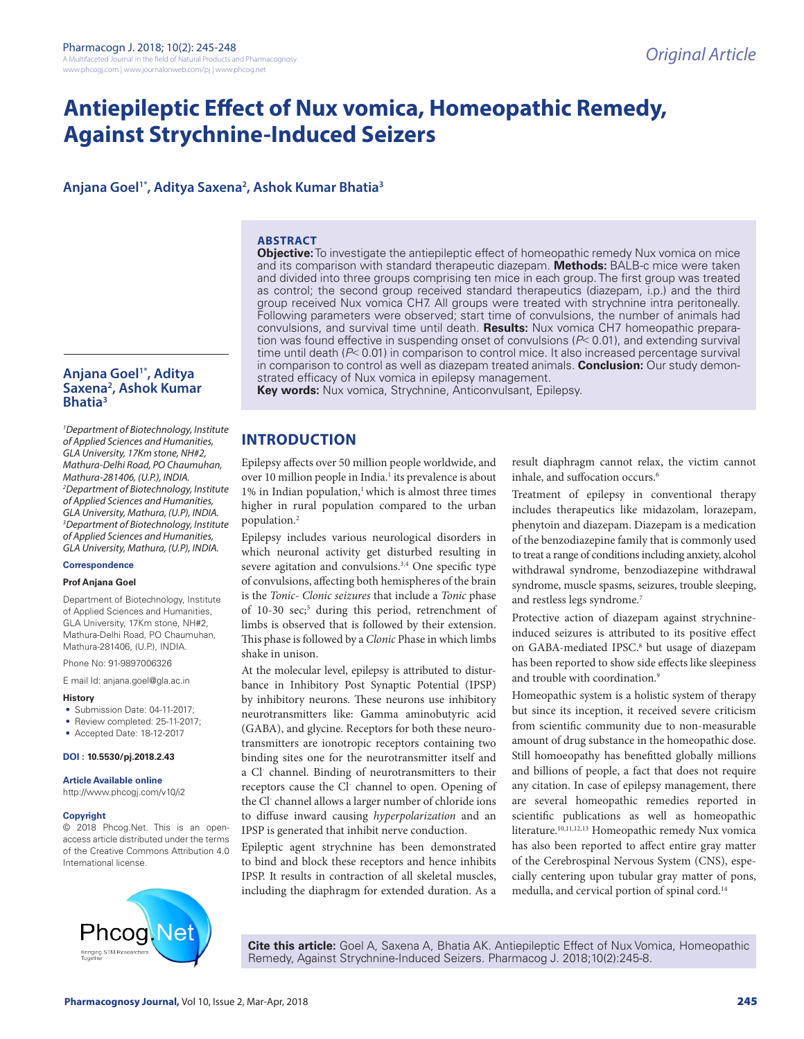# **Antiepileptic Effect of Nux vomica, Homeopathic Remedy, Against Strychnine-Induced Seizers**

# **Anjana Goel1\*, Aditya Saxena2 , Ashok Kumar Bhatia3**

#### **ABSTRACT**

**Objective:** To investigate the antiepileptic effect of homeopathic remedy Nux vomica on mice and its comparison with standard therapeutic diazepam. **Methods:** BALB-c mice were taken and divided into three groups comprising ten mice in each group. The first group was treated as control; the second group received standard therapeutics (diazepam, i.p.) and the third group received Nux vomica CH7. All groups were treated with strychnine intra peritoneally. Following parameters were observed; start time of convulsions, the number of animals had convulsions, and survival time until death. **Results:** Nux vomica CH7 homeopathic preparation was found effective in suspending onset of convulsions (*P*˂ 0.01), and extending survival time until death (*P*˂ 0.01) in comparison to control mice. It also increased percentage survival in comparison to control as well as diazepam treated animals. **Conclusion:** Our study demonstrated efficacy of Nux vomica in epilepsy management.

## **Anjana Goel1\*, Aditya Saxena2 , Ashok Kumar Bhatia3**

*1 Department of Biotechnology, Institute of Applied Sciences and Humanities, GLA University, 17Km stone, NH#2, Mathura-Delhi Road, PO Chaumuhan, Mathura-281406, (U.P.), INDIA. 2 Department of Biotechnology, Institute of Applied Sciences and Humanities, GLA University, Mathura, (U.P), INDIA. 3 Department of Biotechnology, Institute of Applied Sciences and Humanities, GLA University, Mathura, (U.P), INDIA.*

## **Correspondence**

#### **Prof Anjana Goel**

Department of Biotechnology, Institute of Applied Sciences and Humanities, GLA University, 17Km stone, NH#2, Mathura-Delhi Road, PO Chaumuhan, Mathura-281406, (U.P.), INDIA.

Phone No: 91-9897006326

E mail Id: anjana.goel@gla.ac.in

#### **History**

- Submission Date: 04-11-2017;
- Review completed: 25-11-2017;
- Accepted Date: 18-12-2017

#### **DOI : 10.5530/pj.2018.2.43**

**Article Available online**  http://www.phcogj.com/v10/i2

#### **Copyright**

© 2018 Phcog.Net. This is an openaccess article distributed under the terms of the Creative Commons Attribution 4.0 International license.



**Key words:** Nux vomica, Strychnine, Anticonvulsant, Epilepsy.

# **INTRODUCTION**

Epilepsy affects over 50 million people worldwide, and over 10 million people in India.<sup>1</sup> its prevalence is about 1% in Indian population,<sup>1</sup> which is almost three times higher in rural population compared to the urban population.2

Epilepsy includes various neurological disorders in which neuronal activity get disturbed resulting in severe agitation and convulsions.<sup>3,4</sup> One specific type of convulsions, affecting both hemispheres of the brain is the *Tonic- Clonic seizures* that include a *Tonic* phase of 10-30 sec;<sup>5</sup> during this period, retrenchment of limbs is observed that is followed by their extension. This phase is followed by a *Clonic* Phase in which limbs shake in unison.

At the molecular level, epilepsy is attributed to disturbance in Inhibitory Post Synaptic Potential (IPSP) by inhibitory neurons. These neurons use inhibitory neurotransmitters like: Gamma aminobutyric acid (GABA), and glycine. Receptors for both these neurotransmitters are ionotropic receptors containing two binding sites one for the neurotransmitter itself and a Cl<sup>-</sup> channel. Binding of neurotransmitters to their receptors cause the Cl channel to open. Opening of the Cl- channel allows a larger number of chloride ions to diffuse inward causing *hyperpolarization* and an IPSP is generated that inhibit nerve conduction.

Epileptic agent strychnine has been demonstrated to bind and block these receptors and hence inhibits IPSP. It results in contraction of all skeletal muscles, including the diaphragm for extended duration. As a result diaphragm cannot relax, the victim cannot inhale, and suffocation occurs.<sup>6</sup>

Treatment of epilepsy in conventional therapy includes therapeutics like midazolam, lorazepam, phenytoin and diazepam. Diazepam is a medication of the benzodiazepine family that is commonly used to treat a range of conditions including anxiety, alcohol withdrawal syndrome, benzodiazepine withdrawal syndrome, muscle spasms, seizures, trouble sleeping, and restless legs syndrome.7

Protective action of diazepam against strychnineinduced seizures is attributed to its positive effect on GABA-mediated IPSC.<sup>8</sup> but usage of diazepam has been reported to show side effects like sleepiness and trouble with coordination.<sup>9</sup>

Homeopathic system is a holistic system of therapy but since its inception, it received severe criticism from scientific community due to non-measurable amount of drug substance in the homeopathic dose. Still homoeopathy has benefitted globally millions and billions of people, a fact that does not require any citation. In case of epilepsy management, there are several homeopathic remedies reported in scientific publications as well as homeopathic literature.10,11,12,13 Homeopathic remedy Nux vomica has also been reported to affect entire gray matter of the Cerebrospinal Nervous System (CNS), especially centering upon tubular gray matter of pons, medulla, and cervical portion of spinal cord.14

**Cite this article:** Goel A, Saxena A, Bhatia AK. Antiepileptic Effect of Nux Vomica, Homeopathic Remedy, Against Strychnine-Induced Seizers. Pharmacog J. 2018;10(2):245-8.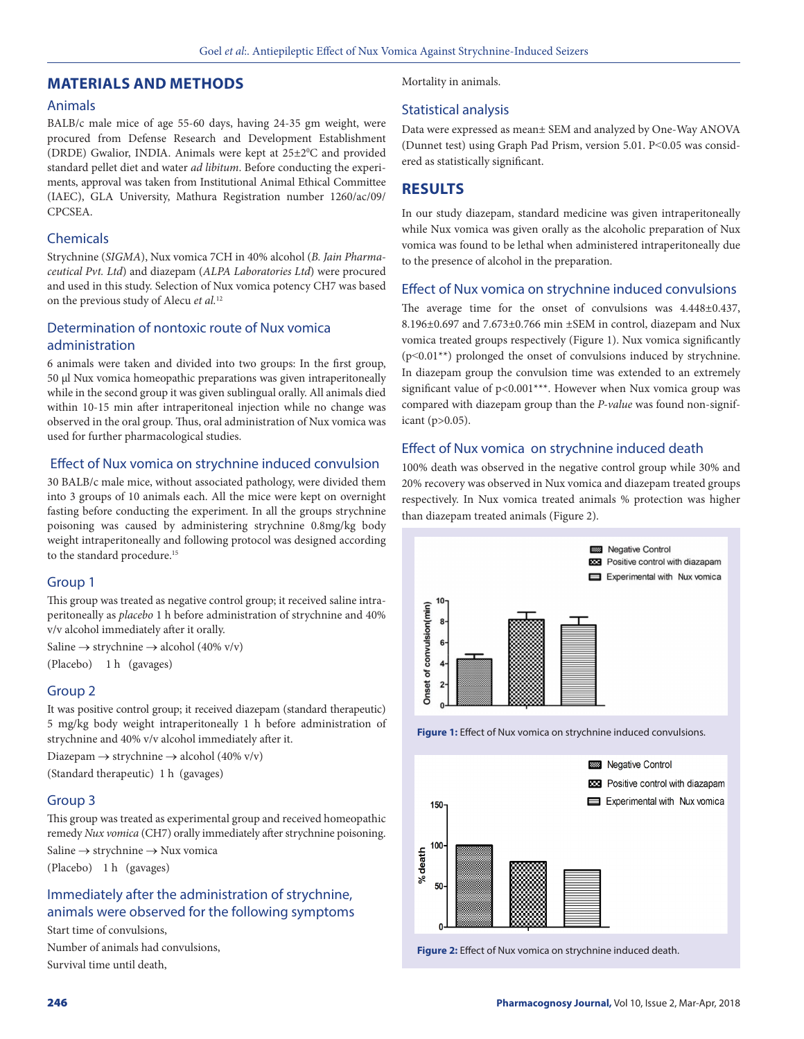# **MATERIALS AND METHODS**

## Animals

BALB/c male mice of age 55-60 days, having 24-35 gm weight, were procured from Defense Research and Development Establishment (DRDE) Gwalior, INDIA. Animals were kept at  $25\pm2\degree C$  and provided standard pellet diet and water *ad libitum*. Before conducting the experiments, approval was taken from Institutional Animal Ethical Committee (IAEC), GLA University, Mathura Registration number 1260/ac/09/ CPCSEA.

# Chemicals

Strychnine (*SIGMA*), Nux vomica 7CH in 40% alcohol (*B. Jain Pharmaceutical Pvt. Ltd*) and diazepam (*ALPA Laboratories Ltd*) were procured and used in this study. Selection of Nux vomica potency CH7 was based on the previous study of Alecu *et al.*<sup>12</sup>

# Determination of nontoxic route of Nux vomica administration

6 animals were taken and divided into two groups: In the first group, 50 µl Nux vomica homeopathic preparations was given intraperitoneally while in the second group it was given sublingual orally. All animals died within 10-15 min after intraperitoneal injection while no change was observed in the oral group. Thus, oral administration of Nux vomica was used for further pharmacological studies.

# Effect of Nux vomica on strychnine induced convulsion

30 BALB/c male mice, without associated pathology, were divided them into 3 groups of 10 animals each. All the mice were kept on overnight fasting before conducting the experiment. In all the groups strychnine poisoning was caused by administering strychnine 0.8mg/kg body weight intraperitoneally and following protocol was designed according to the standard procedure.<sup>15</sup>

# Group 1

This group was treated as negative control group; it received saline intraperitoneally as *placebo* 1 h before administration of strychnine and 40% v/v alcohol immediately after it orally.

Saline  $\rightarrow$  strychnine  $\rightarrow$  alcohol (40% v/v)

(Placebo) 1 h (gavages)

## Group 2

It was positive control group; it received diazepam (standard therapeutic) 5 mg/kg body weight intraperitoneally 1 h before administration of strychnine and 40% v/v alcohol immediately after it.

Diazepam  $\rightarrow$  strychnine  $\rightarrow$  alcohol (40% v/v)

(Standard therapeutic) 1 h (gavages)

# Group 3

This group was treated as experimental group and received homeopathic remedy *Nux vomica* (CH7) orally immediately after strychnine poisoning. Saline → strychnine → Nux vomica

(Placebo) 1 h (gavages)

# Immediately after the administration of strychnine, animals were observed for the following symptoms

Start time of convulsions,

Number of animals had convulsions, Survival time until death,

Mortality in animals.

# Statistical analysis

Data were expressed as mean± SEM and analyzed by One-Way ANOVA (Dunnet test) using Graph Pad Prism, version 5.01. P˂0.05 was considered as statistically significant.

# **RESULTS**

In our study diazepam, standard medicine was given intraperitoneally while Nux vomica was given orally as the alcoholic preparation of Nux vomica was found to be lethal when administered intraperitoneally due to the presence of alcohol in the preparation.

# Effect of Nux vomica on strychnine induced convulsions

The average time for the onset of convulsions was 4.448±0.437, 8.196±0.697 and 7.673±0.766 min ±SEM in control, diazepam and Nux vomica treated groups respectively (Figure 1). Nux vomica significantly  $(p<0.01^{**})$  prolonged the onset of convulsions induced by strychnine. In diazepam group the convulsion time was extended to an extremely significant value of p<0.001\*\*\*. However when Nux vomica group was compared with diazepam group than the *P-value* was found non-significant (p>0.05).

# Effect of Nux vomica on strychnine induced death

100% death was observed in the negative control group while 30% and 20% recovery was observed in Nux vomica and diazepam treated groups respectively. In Nux vomica treated animals % protection was higher than diazepam treated animals (Figure 2).



**Figure 1:** Effect of Nux vomica on strychnine induced convulsions.



**Figure 2:** Effect of Nux vomica on strychnine induced death.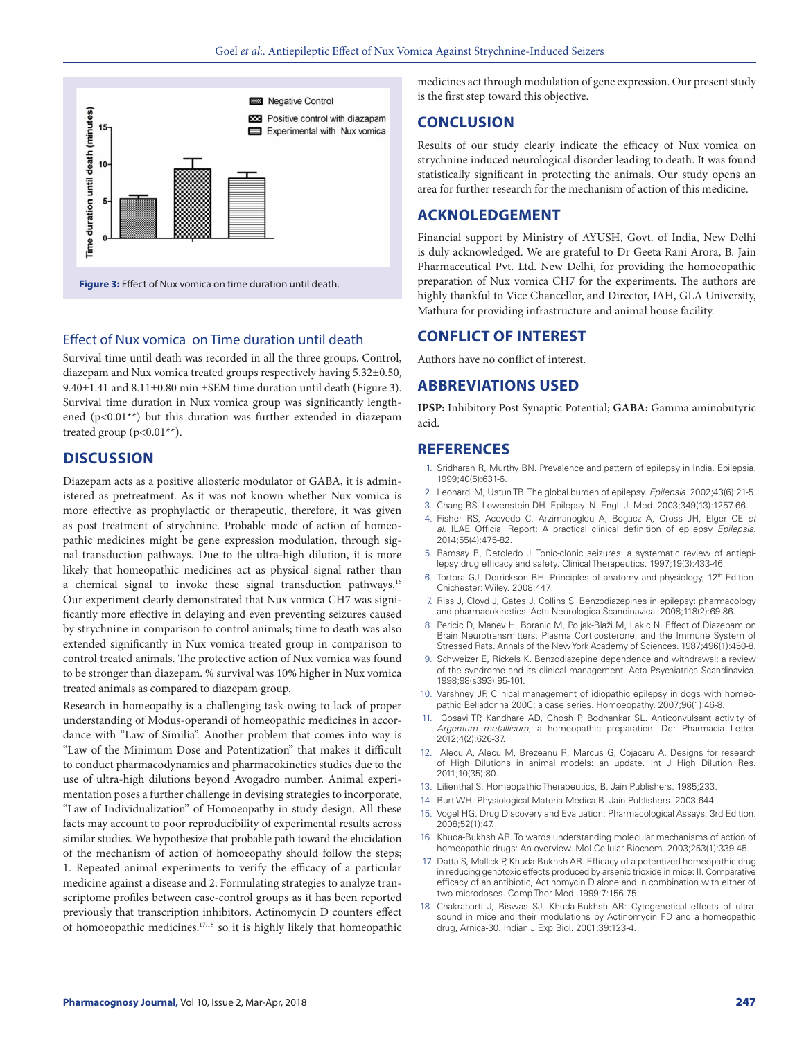

## Effect of Nux vomica on Time duration until death

Survival time until death was recorded in all the three groups. Control, diazepam and Nux vomica treated groups respectively having 5.32±0.50, 9.40±1.41 and 8.11±0.80 min ±SEM time duration until death (Figure 3). Survival time duration in Nux vomica group was significantly lengthened (p<0.01\*\*) but this duration was further extended in diazepam treated group ( $p<0.01**$ ).

# **DISCUSSION**

Diazepam acts as a positive allosteric modulator of GABA, it is administered as pretreatment. As it was not known whether Nux vomica is more effective as prophylactic or therapeutic, therefore, it was given as post treatment of strychnine. Probable mode of action of homeopathic medicines might be gene expression modulation, through signal transduction pathways. Due to the ultra-high dilution, it is more likely that homeopathic medicines act as physical signal rather than a chemical signal to invoke these signal transduction pathways.16 Our experiment clearly demonstrated that Nux vomica CH7 was significantly more effective in delaying and even preventing seizures caused by strychnine in comparison to control animals; time to death was also extended significantly in Nux vomica treated group in comparison to control treated animals. The protective action of Nux vomica was found to be stronger than diazepam. % survival was 10% higher in Nux vomica treated animals as compared to diazepam group.

Research in homeopathy is a challenging task owing to lack of proper understanding of Modus-operandi of homeopathic medicines in accordance with "Law of Similia". Another problem that comes into way is "Law of the Minimum Dose and Potentization" that makes it difficult to conduct pharmacodynamics and pharmacokinetics studies due to the use of ultra-high dilutions beyond Avogadro number. Animal experimentation poses a further challenge in devising strategies to incorporate, "Law of Individualization" of Homoeopathy in study design. All these facts may account to poor reproducibility of experimental results across similar studies. We hypothesize that probable path toward the elucidation of the mechanism of action of homoeopathy should follow the steps; 1. Repeated animal experiments to verify the efficacy of a particular medicine against a disease and 2. Formulating strategies to analyze transcriptome profiles between case-control groups as it has been reported previously that transcription inhibitors, Actinomycin D counters effect of homoeopathic medicines.17,18 so it is highly likely that homeopathic medicines act through modulation of gene expression. Our present study is the first step toward this objective.

# **CONCLUSION**

Results of our study clearly indicate the efficacy of Nux vomica on strychnine induced neurological disorder leading to death. It was found statistically significant in protecting the animals. Our study opens an area for further research for the mechanism of action of this medicine.

# **ACKNOLEDGEMENT**

Financial support by Ministry of AYUSH, Govt. of India, New Delhi is duly acknowledged. We are grateful to Dr Geeta Rani Arora, B. Jain Pharmaceutical Pvt. Ltd. New Delhi, for providing the homoeopathic preparation of Nux vomica CH7 for the experiments. The authors are highly thankful to Vice Chancellor, and Director, IAH, GLA University, Mathura for providing infrastructure and animal house facility.

# **CONFLICT OF INTEREST**

Authors have no conflict of interest.

# **ABBREVIATIONS USED**

**IPSP:** Inhibitory Post Synaptic Potential; **GABA:** Gamma aminobutyric acid.

# **REFERENCES**

- 1. Sridharan R, Murthy BN. Prevalence and pattern of epilepsy in India. Epilepsia. 1999;40(5):631-6.
- 2. Leonardi M, Ustun TB. The global burden of epilepsy. *Epilepsia*. 2002;43(6):21-5.
- 3. Chang BS, Lowenstein DH. Epilepsy. N. Engl. J. Med. 2003;349(13):1257-66.
- 4. Fisher RS, Acevedo C, Arzimanoglou A, Bogacz A, Cross JH, Elger CE *et al*. ILAE Official Report: A practical clinical definition of epilepsy *Epilepsia*. 2014;55(4):475-82.
- 5. Ramsay R, Detoledo J. Tonic-clonic seizures: a systematic review of antiepilepsy drug efficacy and safety. Clinical Therapeutics. 1997;19(3):433-46.
- 6. Tortora GJ, Derrickson BH. Principles of anatomy and physiology, 12<sup>th</sup> Edition. Chichester: Wiley. 2008;447.
- 7. Riss J, Cloyd J, Gates J, Collins S. Benzodiazepines in epilepsy: pharmacology and pharmacokinetics. Acta Neurologica Scandinavica. 2008;118(2):69-86.
- 8. Pericic D, Manev H, Boranic M, Poljak-Blaži M, Lakic N. Effect of Diazepam on Brain Neurotransmitters, Plasma Corticosterone, and the Immune System of Stressed Rats. Annals of the New York Academy of Sciences. 1987;496(1):450-8.
- 9. Schweizer E, Rickels K. Benzodiazepine dependence and withdrawal: a review of the syndrome and its clinical management. Acta Psychiatrica Scandinavica. 1998;98(s393):95-101.
- 10. Varshney JP. Clinical management of idiopathic epilepsy in dogs with homeopathic Belladonna 200C: a case series. Homoeopathy. 2007;96(1):46-8.
- 11. Gosavi TP, Kandhare AD, Ghosh P, Bodhankar SL. Anticonvulsant activity of *Argentum metallicum*, a homeopathic preparation. Der Pharmacia Letter. 2012;4(2):626-37.
- 12. Alecu A, Alecu M, Brezeanu R, Marcus G, Cojacaru A. Designs for research of High Dilutions in animal models: an update. Int J High Dilution Res. 2011;10(35):80.
- 13. Lilienthal S. Homeopathic Therapeutics, B. Jain Publishers. 1985;233.
- 14. Burt WH. Physiological Materia Medica B. Jain Publishers. 2003;644.
- 15. Vogel HG. Drug Discovery and Evaluation: Pharmacological Assays, 3rd Edition. 2008;52(1):47.
- Khuda-Bukhsh AR. To wards understanding molecular mechanisms of action of homeopathic drugs: An overview. Mol Cellular Biochem. 2003;253(1):339-45.
- 17. Datta S, Mallick P, Khuda-Bukhsh AR. Efficacy of a potentized homeopathic drug in reducing genotoxic effects produced by arsenic trioxide in mice: II. Comparative efficacy of an antibiotic, Actinomycin D alone and in combination with either of two microdoses. Comp Ther Med. 1999;7:156-75.
- Chakrabarti J, Biswas SJ, Khuda-Bukhsh AR: Cytogenetical effects of ultrasound in mice and their modulations by Actinomycin FD and a homeopathic drug, Arnica-30. Indian J Exp Biol. 2001;39:123-4.